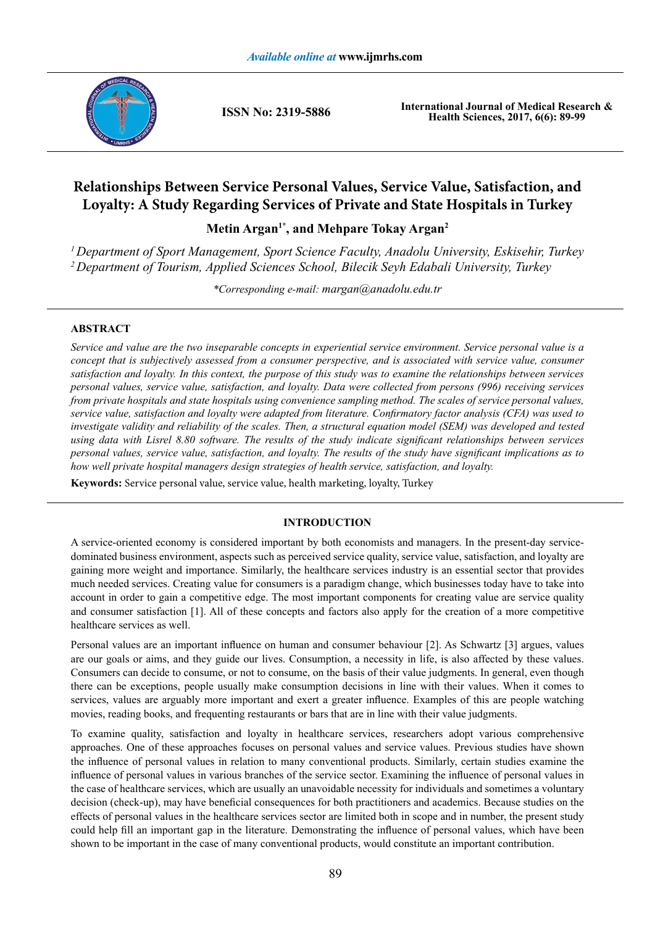

**ISSN No: 2319-5886**

**International Journal of Medical Research & Health Sciences, 2017, 6(6): 89-99**

# **Relationships Between Service Personal Values, Service Value, Satisfaction, and Loyalty: A Study Regarding Services of Private and State Hospitals in Turkey**

Metin Argan<sup>1\*</sup>, and Mehpare Tokay Argan<sup>2</sup>

*1 Department of Sport Management, Sport Science Faculty, Anadolu University, Eskisehir, Turkey 2 Department of Tourism, Applied Sciences School, Bilecik Seyh Edabali University, Turkey*

*\*Corresponding e-mail: margan@anadolu.edu.tr*

# **ABSTRACT**

*Service and value are the two inseparable concepts in experiential service environment. Service personal value is a concept that is subjectively assessed from a consumer perspective, and is associated with service value, consumer satisfaction and loyalty. In this context, the purpose of this study was to examine the relationships between services personal values, service value, satisfaction, and loyalty. Data were collected from persons (996) receiving services from private hospitals and state hospitals using convenience sampling method. The scales of service personal values, service value, satisfaction and loyalty were adapted from literature. Confirmatory factor analysis (CFA) was used to*  investigate validity and reliability of the scales. Then, a structural equation model (SEM) was developed and tested *using data with Lisrel 8.80 software. The results of the study indicate significant relationships between services personal values, service value, satisfaction, and loyalty. The results of the study have significant implications as to how well private hospital managers design strategies of health service, satisfaction, and loyalty.* 

**Keywords:** Service personal value, service value, health marketing, loyalty, Turkey

# **INTRODUCTION**

A service-oriented economy is considered important by both economists and managers. In the present-day servicedominated business environment, aspects such as perceived service quality, service value, satisfaction, and loyalty are gaining more weight and importance. Similarly, the healthcare services industry is an essential sector that provides much needed services. Creating value for consumers is a paradigm change, which businesses today have to take into account in order to gain a competitive edge. The most important components for creating value are service quality and consumer satisfaction [1]. All of these concepts and factors also apply for the creation of a more competitive healthcare services as well.

Personal values are an important influence on human and consumer behaviour [2]. As Schwartz [3] argues, values are our goals or aims, and they guide our lives. Consumption, a necessity in life, is also affected by these values. Consumers can decide to consume, or not to consume, on the basis of their value judgments. In general, even though there can be exceptions, people usually make consumption decisions in line with their values. When it comes to services, values are arguably more important and exert a greater influence. Examples of this are people watching movies, reading books, and frequenting restaurants or bars that are in line with their value judgments.

To examine quality, satisfaction and loyalty in healthcare services, researchers adopt various comprehensive approaches. One of these approaches focuses on personal values and service values. Previous studies have shown the influence of personal values in relation to many conventional products. Similarly, certain studies examine the influence of personal values in various branches of the service sector. Examining the influence of personal values in the case of healthcare services, which are usually an unavoidable necessity for individuals and sometimes a voluntary decision (check-up), may have beneficial consequences for both practitioners and academics. Because studies on the effects of personal values in the healthcare services sector are limited both in scope and in number, the present study could help fill an important gap in the literature. Demonstrating the influence of personal values, which have been shown to be important in the case of many conventional products, would constitute an important contribution.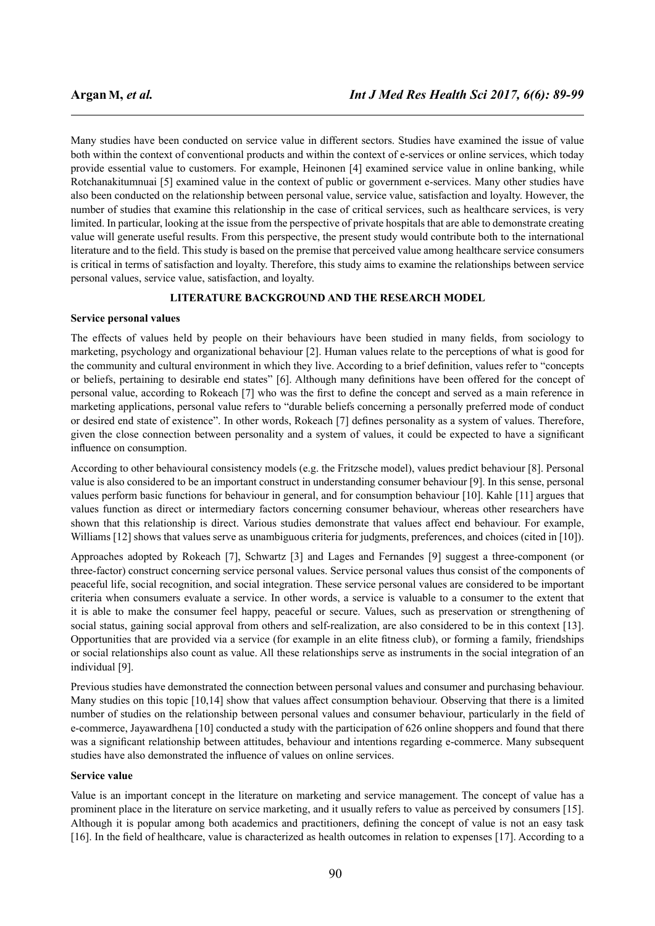Many studies have been conducted on service value in different sectors. Studies have examined the issue of value both within the context of conventional products and within the context of e-services or online services, which today provide essential value to customers. For example, Heinonen [4] examined service value in online banking, while Rotchanakitumnuai [5] examined value in the context of public or government e-services. Many other studies have also been conducted on the relationship between personal value, service value, satisfaction and loyalty. However, the number of studies that examine this relationship in the case of critical services, such as healthcare services, is very limited. In particular, looking at the issue from the perspective of private hospitals that are able to demonstrate creating value will generate useful results. From this perspective, the present study would contribute both to the international literature and to the field. This study is based on the premise that perceived value among healthcare service consumers is critical in terms of satisfaction and loyalty. Therefore, this study aims to examine the relationships between service personal values, service value, satisfaction, and loyalty.

# **LITERATURE BACKGROUND AND THE RESEARCH MODEL**

#### **Service personal values**

The effects of values held by people on their behaviours have been studied in many fields, from sociology to marketing, psychology and organizational behaviour [2]. Human values relate to the perceptions of what is good for the community and cultural environment in which they live. According to a brief definition, values refer to "concepts or beliefs, pertaining to desirable end states" [6]. Although many definitions have been offered for the concept of personal value, according to Rokeach [7] who was the first to define the concept and served as a main reference in marketing applications, personal value refers to "durable beliefs concerning a personally preferred mode of conduct or desired end state of existence". In other words, Rokeach [7] defines personality as a system of values. Therefore, given the close connection between personality and a system of values, it could be expected to have a significant influence on consumption.

According to other behavioural consistency models (e.g. the Fritzsche model), values predict behaviour [8]. Personal value is also considered to be an important construct in understanding consumer behaviour [9]. In this sense, personal values perform basic functions for behaviour in general, and for consumption behaviour [10]. Kahle [11] argues that values function as direct or intermediary factors concerning consumer behaviour, whereas other researchers have shown that this relationship is direct. Various studies demonstrate that values affect end behaviour. For example, Williams [12] shows that values serve as unambiguous criteria for judgments, preferences, and choices (cited in [10]).

Approaches adopted by Rokeach [7], Schwartz [3] and Lages and Fernandes [9] suggest a three-component (or three-factor) construct concerning service personal values. Service personal values thus consist of the components of peaceful life, social recognition, and social integration. These service personal values are considered to be important criteria when consumers evaluate a service. In other words, a service is valuable to a consumer to the extent that it is able to make the consumer feel happy, peaceful or secure. Values, such as preservation or strengthening of social status, gaining social approval from others and self-realization, are also considered to be in this context [13]. Opportunities that are provided via a service (for example in an elite fitness club), or forming a family, friendships or social relationships also count as value. All these relationships serve as instruments in the social integration of an individual [9].

Previous studies have demonstrated the connection between personal values and consumer and purchasing behaviour. Many studies on this topic [10,14] show that values affect consumption behaviour. Observing that there is a limited number of studies on the relationship between personal values and consumer behaviour, particularly in the field of e-commerce, Jayawardhena [10] conducted a study with the participation of 626 online shoppers and found that there was a significant relationship between attitudes, behaviour and intentions regarding e-commerce. Many subsequent studies have also demonstrated the influence of values on online services.

# **Service value**

Value is an important concept in the literature on marketing and service management. The concept of value has a prominent place in the literature on service marketing, and it usually refers to value as perceived by consumers [15]. Although it is popular among both academics and practitioners, defining the concept of value is not an easy task [16]. In the field of healthcare, value is characterized as health outcomes in relation to expenses [17]. According to a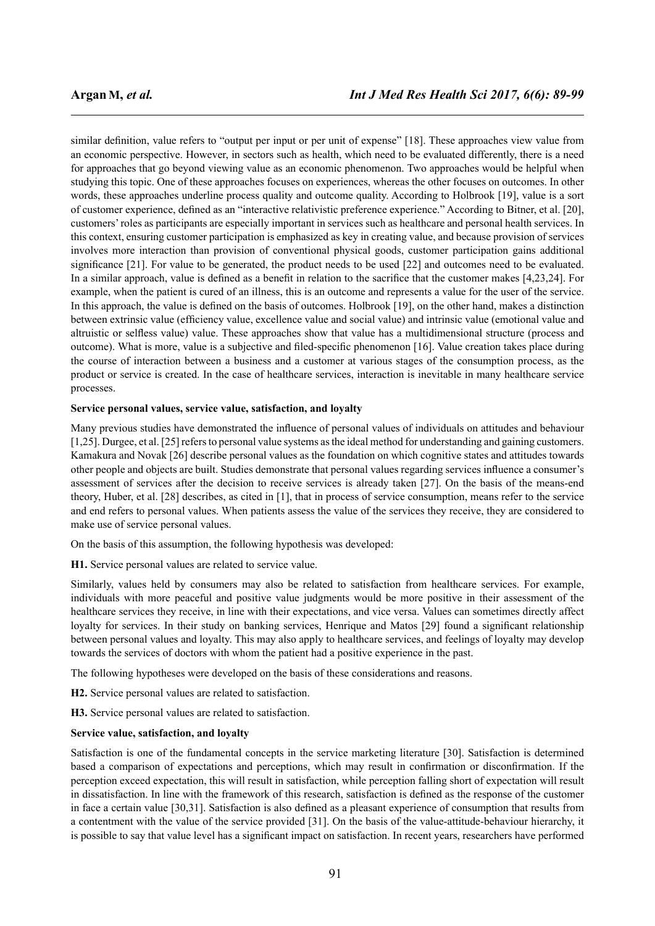similar definition, value refers to "output per input or per unit of expense" [18]. These approaches view value from an economic perspective. However, in sectors such as health, which need to be evaluated differently, there is a need for approaches that go beyond viewing value as an economic phenomenon. Two approaches would be helpful when studying this topic. One of these approaches focuses on experiences, whereas the other focuses on outcomes. In other words, these approaches underline process quality and outcome quality. According to Holbrook [19], value is a sort of customer experience, defined as an "interactive relativistic preference experience." According to Bitner, et al. [20], customers' roles as participants are especially important in services such as healthcare and personal health services. In this context, ensuring customer participation is emphasized as key in creating value, and because provision of services involves more interaction than provision of conventional physical goods, customer participation gains additional significance [21]. For value to be generated, the product needs to be used [22] and outcomes need to be evaluated. In a similar approach, value is defined as a benefit in relation to the sacrifice that the customer makes [4,23,24]. For example, when the patient is cured of an illness, this is an outcome and represents a value for the user of the service. In this approach, the value is defined on the basis of outcomes. Holbrook [19], on the other hand, makes a distinction between extrinsic value (efficiency value, excellence value and social value) and intrinsic value (emotional value and altruistic or selfless value) value. These approaches show that value has a multidimensional structure (process and outcome). What is more, value is a subjective and filed-specific phenomenon [16]. Value creation takes place during the course of interaction between a business and a customer at various stages of the consumption process, as the product or service is created. In the case of healthcare services, interaction is inevitable in many healthcare service processes.

#### **Service personal values, service value, satisfaction, and loyalty**

Many previous studies have demonstrated the influence of personal values of individuals on attitudes and behaviour [1,25]. Durgee, et al. [25] refers to personal value systems as the ideal method for understanding and gaining customers. Kamakura and Novak [26] describe personal values as the foundation on which cognitive states and attitudes towards other people and objects are built. Studies demonstrate that personal values regarding services influence a consumer's assessment of services after the decision to receive services is already taken [27]. On the basis of the means-end theory, Huber, et al. [28] describes, as cited in [1], that in process of service consumption, means refer to the service and end refers to personal values. When patients assess the value of the services they receive, they are considered to make use of service personal values.

On the basis of this assumption, the following hypothesis was developed:

**H1.** Service personal values are related to service value.

Similarly, values held by consumers may also be related to satisfaction from healthcare services. For example, individuals with more peaceful and positive value judgments would be more positive in their assessment of the healthcare services they receive, in line with their expectations, and vice versa. Values can sometimes directly affect loyalty for services. In their study on banking services, Henrique and Matos [29] found a significant relationship between personal values and loyalty. This may also apply to healthcare services, and feelings of loyalty may develop towards the services of doctors with whom the patient had a positive experience in the past.

The following hypotheses were developed on the basis of these considerations and reasons.

**H2.** Service personal values are related to satisfaction.

**H3.** Service personal values are related to satisfaction.

#### **Service value, satisfaction, and loyalty**

Satisfaction is one of the fundamental concepts in the service marketing literature [30]. Satisfaction is determined based a comparison of expectations and perceptions, which may result in confirmation or disconfirmation. If the perception exceed expectation, this will result in satisfaction, while perception falling short of expectation will result in dissatisfaction. In line with the framework of this research, satisfaction is defined as the response of the customer in face a certain value [30,31]. Satisfaction is also defined as a pleasant experience of consumption that results from a contentment with the value of the service provided [31]. On the basis of the value-attitude-behaviour hierarchy, it is possible to say that value level has a significant impact on satisfaction. In recent years, researchers have performed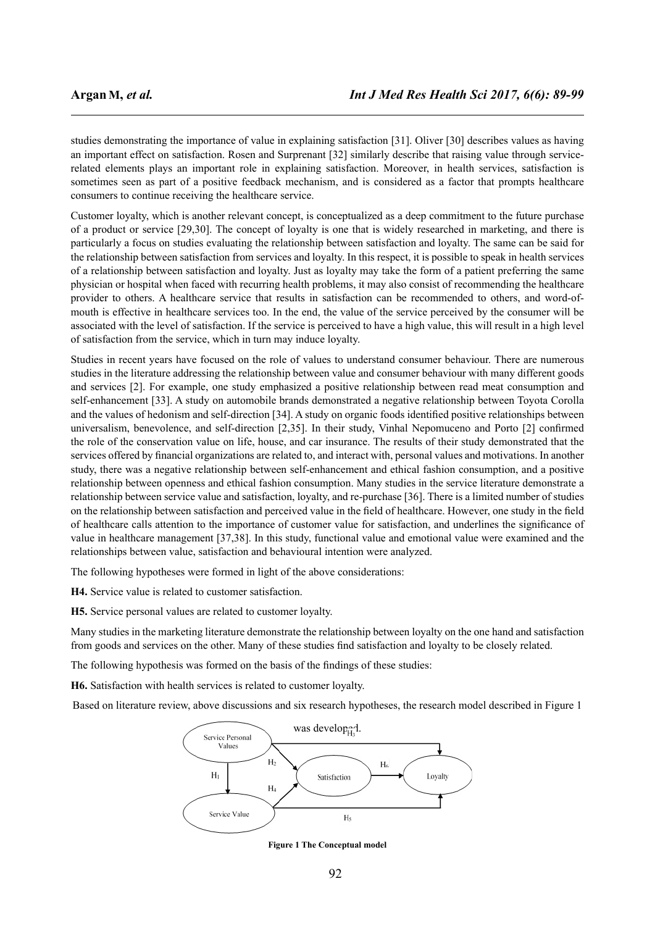studies demonstrating the importance of value in explaining satisfaction [31]. Oliver [30] describes values as having an important effect on satisfaction. Rosen and Surprenant [32] similarly describe that raising value through servicerelated elements plays an important role in explaining satisfaction. Moreover, in health services, satisfaction is sometimes seen as part of a positive feedback mechanism, and is considered as a factor that prompts healthcare consumers to continue receiving the healthcare service.

Customer loyalty, which is another relevant concept, is conceptualized as a deep commitment to the future purchase of a product or service [29,30]. The concept of loyalty is one that is widely researched in marketing, and there is particularly a focus on studies evaluating the relationship between satisfaction and loyalty. The same can be said for the relationship between satisfaction from services and loyalty. In this respect, it is possible to speak in health services of a relationship between satisfaction and loyalty. Just as loyalty may take the form of a patient preferring the same physician or hospital when faced with recurring health problems, it may also consist of recommending the healthcare provider to others. A healthcare service that results in satisfaction can be recommended to others, and word-ofmouth is effective in healthcare services too. In the end, the value of the service perceived by the consumer will be associated with the level of satisfaction. If the service is perceived to have a high value, this will result in a high level of satisfaction from the service, which in turn may induce loyalty.

Studies in recent years have focused on the role of values to understand consumer behaviour. There are numerous studies in the literature addressing the relationship between value and consumer behaviour with many different goods and services [2]. For example, one study emphasized a positive relationship between read meat consumption and self-enhancement [33]. A study on automobile brands demonstrated a negative relationship between Toyota Corolla and the values of hedonism and self-direction [34]. A study on organic foods identified positive relationships between universalism, benevolence, and self-direction [2,35]. In their study, Vinhal Nepomuceno and Porto [2] confirmed the role of the conservation value on life, house, and car insurance. The results of their study demonstrated that the services offered by financial organizations are related to, and interact with, personal values and motivations. In another study, there was a negative relationship between self-enhancement and ethical fashion consumption, and a positive relationship between openness and ethical fashion consumption. Many studies in the service literature demonstrate a relationship between service value and satisfaction, loyalty, and re-purchase [36]. There is a limited number of studies on the relationship between satisfaction and perceived value in the field of healthcare. However, one study in the field of healthcare calls attention to the importance of customer value for satisfaction, and underlines the significance of value in healthcare management [37,38]. In this study, functional value and emotional value were examined and the relationships between value, satisfaction and behavioural intention were analyzed.

The following hypotheses were formed in light of the above considerations:

**H4.** Service value is related to customer satisfaction.

**H5.** Service personal values are related to customer loyalty.

Many studies in the marketing literature demonstrate the relationship between loyalty on the one hand and satisfaction from goods and services on the other. Many of these studies find satisfaction and loyalty to be closely related.

The following hypothesis was formed on the basis of the findings of these studies:

**H6.** Satisfaction with health services is related to customer loyalty.

Based on literature review, above discussions and six research hypotheses, the research model described in Figure 1



**Figure 1 The Conceptual model**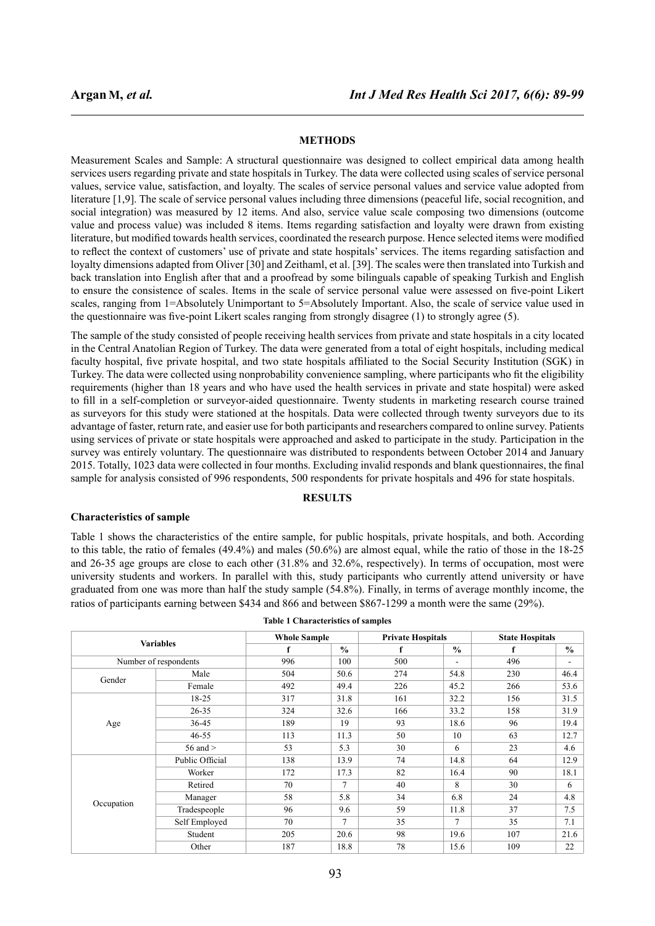# **METHODS**

Measurement Scales and Sample: A structural questionnaire was designed to collect empirical data among health services users regarding private and state hospitals in Turkey. The data were collected using scales of service personal values, service value, satisfaction, and loyalty. The scales of service personal values and service value adopted from literature [1,9]. The scale of service personal values including three dimensions (peaceful life, social recognition, and social integration) was measured by 12 items. And also, service value scale composing two dimensions (outcome value and process value) was included 8 items. Items regarding satisfaction and loyalty were drawn from existing literature, but modified towards health services, coordinated the research purpose. Hence selected items were modified to reflect the context of customers' use of private and state hospitals' services. The items regarding satisfaction and loyalty dimensions adapted from Oliver [30] and Zeithaml, et al. [39]. The scales were then translated into Turkish and back translation into English after that and a proofread by some bilinguals capable of speaking Turkish and English to ensure the consistence of scales. Items in the scale of service personal value were assessed on five-point Likert scales, ranging from 1=Absolutely Unimportant to 5=Absolutely Important. Also, the scale of service value used in the questionnaire was five-point Likert scales ranging from strongly disagree (1) to strongly agree (5).

The sample of the study consisted of people receiving health services from private and state hospitals in a city located in the Central Anatolian Region of Turkey. The data were generated from a total of eight hospitals, including medical faculty hospital, five private hospital, and two state hospitals affiliated to the Social Security Institution (SGK) in Turkey. The data were collected using nonprobability convenience sampling, where participants who fit the eligibility requirements (higher than 18 years and who have used the health services in private and state hospital) were asked to fill in a self-completion or surveyor-aided questionnaire. Twenty students in marketing research course trained as surveyors for this study were stationed at the hospitals. Data were collected through twenty surveyors due to its advantage of faster, return rate, and easier use for both participants and researchers compared to online survey. Patients using services of private or state hospitals were approached and asked to participate in the study. Participation in the survey was entirely voluntary. The questionnaire was distributed to respondents between October 2014 and January 2015. Totally, 1023 data were collected in four months. Excluding invalid responds and blank questionnaires, the final sample for analysis consisted of 996 respondents, 500 respondents for private hospitals and 496 for state hospitals.

# **RESULTS**

#### **Characteristics of sample**

Table 1 shows the characteristics of the entire sample, for public hospitals, private hospitals, and both. According to this table, the ratio of females (49.4%) and males (50.6%) are almost equal, while the ratio of those in the 18-25 and 26-35 age groups are close to each other (31.8% and 32.6%, respectively). In terms of occupation, most were university students and workers. In parallel with this, study participants who currently attend university or have graduated from one was more than half the study sample (54.8%). Finally, in terms of average monthly income, the ratios of participants earning between \$434 and 866 and between \$867-1299 a month were the same (29%).

| Table 1 Chai acteristics of samples |                       |                     |               |                          |                                                                                          |                        |                          |  |
|-------------------------------------|-----------------------|---------------------|---------------|--------------------------|------------------------------------------------------------------------------------------|------------------------|--------------------------|--|
|                                     |                       | <b>Whole Sample</b> |               | <b>Private Hospitals</b> |                                                                                          | <b>State Hospitals</b> |                          |  |
|                                     | <b>Variables</b>      | f                   | $\frac{0}{0}$ | f                        | $\frac{0}{0}$                                                                            | f                      | $\frac{0}{0}$            |  |
|                                     | Number of respondents | 996                 | 100           | 500                      | $\overline{\phantom{a}}$                                                                 | 496                    | $\overline{\phantom{a}}$ |  |
| Gender                              | Male                  | 504                 | 50.6          | 274                      | 54.8                                                                                     | 230                    | 46.4                     |  |
|                                     | Female                | 492                 | 49.4          | 226                      | 45.2<br>32.2<br>33.2<br>18.6<br>10<br>6<br>14.8<br>16.4<br>8<br>6.8<br>11.8<br>7<br>19.6 | 266                    | 53.6                     |  |
|                                     | 18-25                 | 317                 | 31.8          | 161                      |                                                                                          | 156                    | 31.5                     |  |
|                                     | 26-35                 | 324                 | 32.6          | 166                      |                                                                                          | 158                    | 31.9                     |  |
| Age                                 | 36-45                 | 189                 | 19            | 93                       |                                                                                          | 96                     | 19.4                     |  |
|                                     | $46 - 55$             | 113                 | 11.3          | 50                       |                                                                                          | 63                     | 12.7                     |  |
|                                     | 56 and $>$            | 53                  | 5.3           | 30                       |                                                                                          | 23                     | 4.6                      |  |
|                                     | Public Official       | 138                 | 13.9          | 74                       |                                                                                          | 64                     | 12.9                     |  |
|                                     | Worker                | 172                 | 17.3          | 82                       |                                                                                          | 90                     | 18.1                     |  |
|                                     | Retired               | 70                  | 7             | 40                       |                                                                                          | 30                     | 6                        |  |
|                                     | Manager               | 58                  | 5.8           | 34                       |                                                                                          | 24                     | 4.8                      |  |
| Occupation                          | Tradespeople          | 96                  | 9.6           | 59                       |                                                                                          | 37                     | 7.5                      |  |
|                                     | Self Employed         | 70                  | 7             | 35                       |                                                                                          | 35                     | 7.1                      |  |
|                                     | Student               | 205                 | 20.6          | 98                       |                                                                                          | 107                    | 21.6                     |  |
|                                     | Other                 | 187                 | 18.8          | 78                       | 15.6                                                                                     | 109                    | 22                       |  |

**Table 1 Characteristics of samples**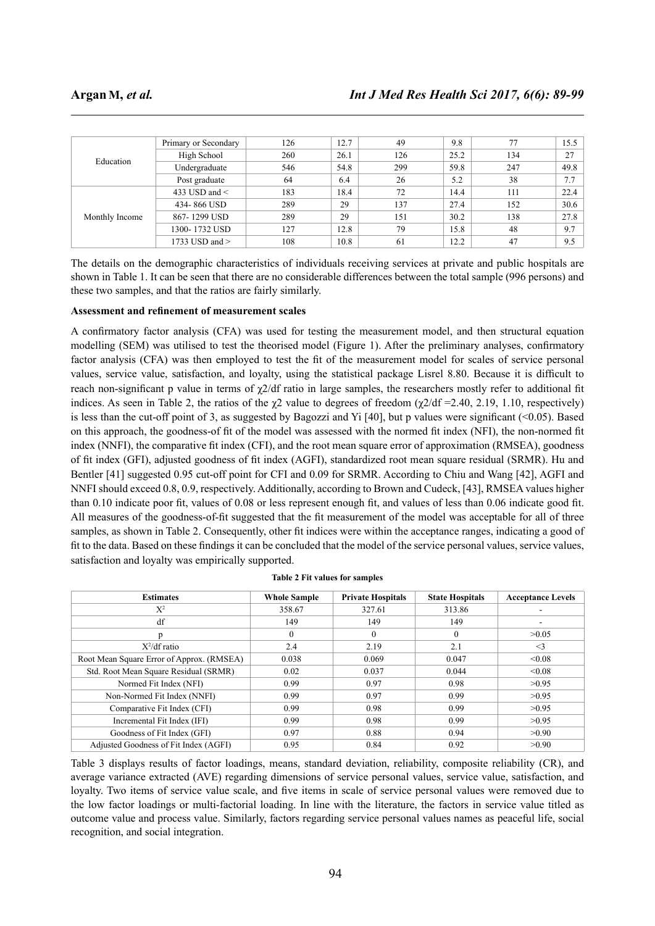| Education      | Primary or Secondary | 126 | 12.7 | 49  | 9.8  | 77  | 15.5 |
|----------------|----------------------|-----|------|-----|------|-----|------|
|                | High School          | 260 | 26.1 | 126 | 25.2 | 134 | 27   |
|                | Undergraduate        | 546 | 54.8 | 299 | 59.8 | 247 | 49.8 |
|                | Post graduate        | 64  | 6.4  | 26  | 5.2  | 38  | 7.7  |
| Monthly Income | 433 USD and $\le$    | 183 | 18.4 | 72  | 14.4 | 111 | 22.4 |
|                | 434-866 USD          | 289 | 29   | 137 | 27.4 | 152 | 30.6 |
|                | 867-1299 USD         | 289 | 29   | 151 | 30.2 | 138 | 27.8 |
|                | 1300- 1732 USD       | 127 | 12.8 | 79  | 15.8 | 48  | 9.7  |
|                | 1733 USD and $>$     | 108 | 10.8 | 61  | 12.2 | 47  | 9.5  |

The details on the demographic characteristics of individuals receiving services at private and public hospitals are shown in Table 1. It can be seen that there are no considerable differences between the total sample (996 persons) and these two samples, and that the ratios are fairly similarly.

# **Assessment and refinement of measurement scales**

A confirmatory factor analysis (CFA) was used for testing the measurement model, and then structural equation modelling (SEM) was utilised to test the theorised model (Figure 1). After the preliminary analyses, confirmatory factor analysis (CFA) was then employed to test the fit of the measurement model for scales of service personal values, service value, satisfaction, and loyalty, using the statistical package Lisrel 8.80. Because it is difficult to reach non-significant p value in terms of  $\gamma$ 2/df ratio in large samples, the researchers mostly refer to additional fit indices. As seen in Table 2, the ratios of the  $\chi$ 2 value to degrees of freedom ( $\chi$ 2/df = 2.40, 2.19, 1.10, respectively) is less than the cut-off point of 3, as suggested by Bagozzi and Yi [40], but p values were significant  $(\leq 0.05)$ . Based on this approach, the goodness-of fit of the model was assessed with the normed fit index (NFI), the non-normed fit index (NNFI), the comparative fit index (CFI), and the root mean square error of approximation (RMSEA), goodness of fit index (GFI), adjusted goodness of fit index (AGFI), standardized root mean square residual (SRMR). Hu and Bentler [41] suggested 0.95 cut-off point for CFI and 0.09 for SRMR. According to Chiu and Wang [42], AGFI and NNFI should exceed 0.8, 0.9, respectively. Additionally, according to Brown and Cudeck, [43], RMSEA values higher than 0.10 indicate poor fit, values of 0.08 or less represent enough fit, and values of less than 0.06 indicate good fit. All measures of the goodness-of-fit suggested that the fit measurement of the model was acceptable for all of three samples, as shown in Table 2. Consequently, other fit indices were within the acceptance ranges, indicating a good of fit to the data. Based on these findings it can be concluded that the model of the service personal values, service values, satisfaction and loyalty was empirically supported.

| <b>Estimates</b>                          | <b>Whole Sample</b> | <b>Private Hospitals</b> | <b>State Hospitals</b> | <b>Acceptance Levels</b> |
|-------------------------------------------|---------------------|--------------------------|------------------------|--------------------------|
| $X^2$                                     | 358.67              | 327.61                   | 313.86                 | ۰                        |
| df                                        | 149                 | 149                      | 149                    | ۰                        |
| p                                         | $\mathbf{0}$        | $\mathbf{0}$             | $\mathbf{0}$           | >0.05                    |
| $X^2$ /df ratio                           | 2.4                 | 2.19                     | 2.1                    | $\leq$ 3                 |
| Root Mean Square Error of Approx. (RMSEA) | 0.038               | 0.069                    | 0.047                  | < 0.08                   |
| Std. Root Mean Square Residual (SRMR)     | 0.02                | 0.037                    | 0.044                  | < 0.08                   |
| Normed Fit Index (NFI)                    | 0.99                | 0.97                     | 0.98                   | >0.95                    |
| Non-Normed Fit Index (NNFI)               | 0.99                | 0.97                     | 0.99                   | >0.95                    |
| Comparative Fit Index (CFI)               | 0.99                | 0.98                     | 0.99                   | >0.95                    |
| Incremental Fit Index (IFI)               | 0.99                | 0.98                     | 0.99                   | >0.95                    |
| Goodness of Fit Index (GFI)               | 0.97                | 0.88                     | 0.94                   | >0.90                    |
| Adjusted Goodness of Fit Index (AGFI)     | 0.95                | 0.84                     | 0.92                   | >0.90                    |

|  | <b>Table 2 Fit values for samples</b> |  |  |
|--|---------------------------------------|--|--|
|  |                                       |  |  |

Table 3 displays results of factor loadings, means, standard deviation, reliability, composite reliability (CR), and average variance extracted (AVE) regarding dimensions of service personal values, service value, satisfaction, and loyalty. Two items of service value scale, and five items in scale of service personal values were removed due to the low factor loadings or multi-factorial loading. In line with the literature, the factors in service value titled as outcome value and process value. Similarly, factors regarding service personal values names as peaceful life, social recognition, and social integration.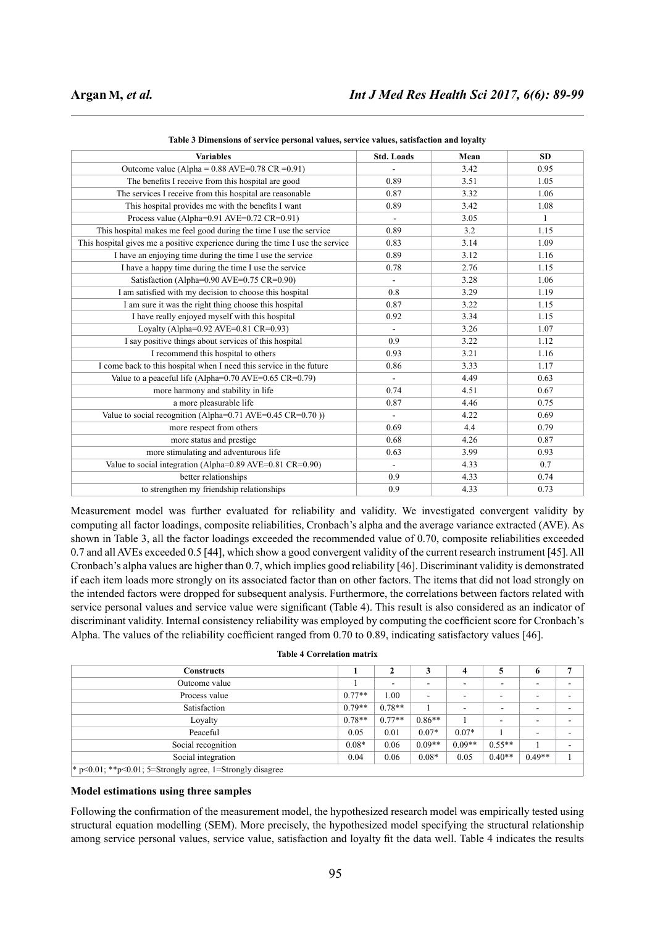| <b>Variables</b>                                                               | <b>Std. Loads</b>        | Mean | <b>SD</b>    |
|--------------------------------------------------------------------------------|--------------------------|------|--------------|
| Outcome value (Alpha = $0.88$ AVE= $0.78$ CR = $0.91$ )                        |                          | 3.42 | 0.95         |
| The benefits I receive from this hospital are good                             | 0.89                     | 3.51 | 1.05         |
| The services I receive from this hospital are reasonable                       | 0.87                     | 3.32 | 1.06         |
| This hospital provides me with the benefits I want                             | 0.89                     | 3.42 | 1.08         |
| Process value (Alpha= $0.91$ AVE= $0.72$ CR= $0.91$ )                          | $\blacksquare$           | 3.05 | $\mathbf{1}$ |
| This hospital makes me feel good during the time I use the service             | 0.89                     | 3.2  | 1.15         |
| This hospital gives me a positive experience during the time I use the service | 0.83                     | 3.14 | 1.09         |
| I have an enjoying time during the time I use the service                      | 0.89                     | 3.12 | 1.16         |
| I have a happy time during the time I use the service                          | 0.78                     | 2.76 | 1.15         |
| Satisfaction (Alpha=0.90 AVE=0.75 CR=0.90)                                     |                          | 3.28 | 1.06         |
| I am satisfied with my decision to choose this hospital                        | 0.8                      | 3.29 | 1.19         |
| I am sure it was the right thing choose this hospital                          | 0.87                     | 3.22 | 1.15         |
| I have really enjoyed myself with this hospital                                | 0.92                     | 3.34 | 1.15         |
| Loyalty (Alpha= $0.92$ AVE= $0.81$ CR= $0.93$ )                                | $\blacksquare$           | 3.26 | 1.07         |
| I say positive things about services of this hospital                          | 0.9                      | 3.22 | 1.12         |
| I recommend this hospital to others                                            | 0.93                     | 3.21 | 1.16         |
| I come back to this hospital when I need this service in the future            | 0.86                     | 3.33 | 1.17         |
| Value to a peaceful life (Alpha= $0.70$ AVE= $0.65$ CR= $0.79$ )               |                          | 4.49 | 0.63         |
| more harmony and stability in life                                             | 0.74                     | 4.51 | 0.67         |
| a more pleasurable life                                                        | 0.87                     | 4.46 | 0.75         |
| Value to social recognition (Alpha=0.71 AVE=0.45 CR=0.70 ))                    |                          | 4.22 | 0.69         |
| more respect from others                                                       | 0.69                     | 4.4  | 0.79         |
| more status and prestige                                                       | 0.68                     | 4.26 | 0.87         |
| more stimulating and adventurous life                                          | 0.63                     | 3.99 | 0.93         |
| Value to social integration (Alpha=0.89 AVE=0.81 CR=0.90)                      | $\overline{\phantom{a}}$ | 4.33 | 0.7          |
| better relationships                                                           | 0.9                      | 4.33 | 0.74         |
| to strengthen my friendship relationships                                      | 0.9                      | 4.33 | 0.73         |

**Table 3 Dimensions of service personal values, service values, satisfaction and loyalty**

Measurement model was further evaluated for reliability and validity. We investigated convergent validity by computing all factor loadings, composite reliabilities, Cronbach's alpha and the average variance extracted (AVE). As shown in Table 3, all the factor loadings exceeded the recommended value of 0.70, composite reliabilities exceeded 0.7 and all AVEs exceeded 0.5 [44], which show a good convergent validity of the current research instrument [45]. All Cronbach's alpha values are higher than 0.7, which implies good reliability [46]. Discriminant validity is demonstrated if each item loads more strongly on its associated factor than on other factors. The items that did not load strongly on the intended factors were dropped for subsequent analysis. Furthermore, the correlations between factors related with service personal values and service value were significant (Table 4). This result is also considered as an indicator of discriminant validity. Internal consistency reliability was employed by computing the coefficient score for Cronbach's Alpha. The values of the reliability coefficient ranged from 0.70 to 0.89, indicating satisfactory values [46].

| <b>Table 4 Correlation matrix</b> |
|-----------------------------------|
|-----------------------------------|

| <b>Constructs</b>                                           |          | 2                        | 3        | 4                        | 5                        | 6        | 7 |
|-------------------------------------------------------------|----------|--------------------------|----------|--------------------------|--------------------------|----------|---|
| Outcome value                                               |          | $\overline{\phantom{0}}$ | -        | ۰                        |                          |          |   |
| Process value                                               | $0.77**$ | 1.00                     | ۰        | $\blacksquare$           | $\overline{\phantom{0}}$ |          |   |
| Satisfaction                                                | $0.79**$ | $0.78**$                 |          | $\overline{\phantom{a}}$ | -                        |          |   |
| Loyalty                                                     | $0.78**$ | $0.77**$                 | $0.86**$ |                          |                          |          |   |
| Peaceful                                                    | 0.05     | 0.01                     | $0.07*$  | $0.07*$                  |                          |          |   |
| Social recognition                                          | $0.08*$  | 0.06                     | $0.09**$ | $0.09**$                 | $0.55**$                 |          |   |
| Social integration                                          | 0.04     | 0.06                     | $0.08*$  | 0.05                     | $0.40**$                 | $0.49**$ |   |
| $*$ p<0.01; **p<0.01; 5=Strongly agree, 1=Strongly disagree |          |                          |          |                          |                          |          |   |

**Model estimations using three samples**

Following the confirmation of the measurement model, the hypothesized research model was empirically tested using structural equation modelling (SEM). More precisely, the hypothesized model specifying the structural relationship among service personal values, service value, satisfaction and loyalty fit the data well. Table 4 indicates the results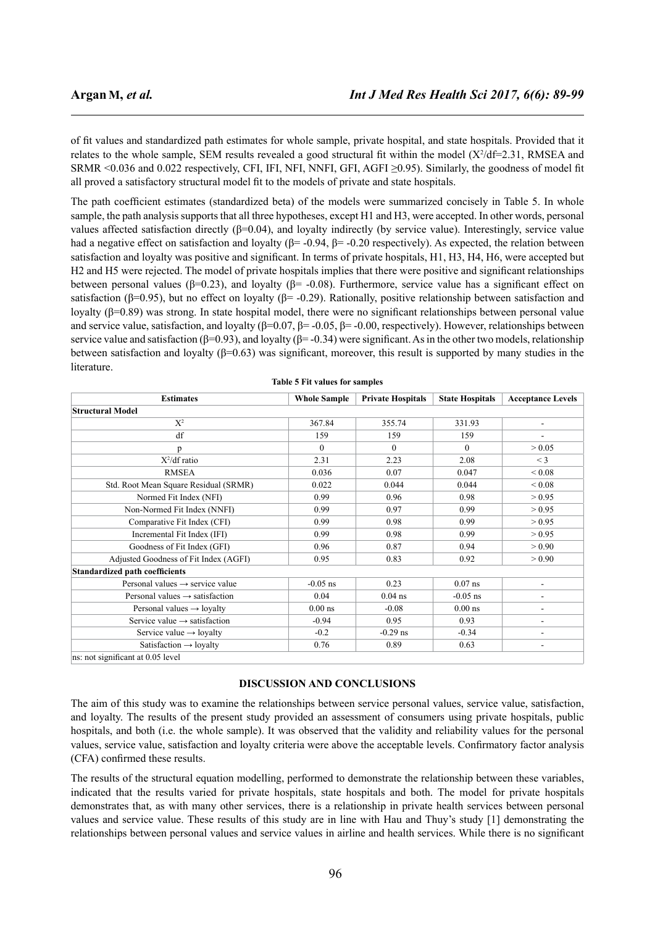of fit values and standardized path estimates for whole sample, private hospital, and state hospitals. Provided that it relates to the whole sample, SEM results revealed a good structural fit within the model  $(X^2/df=2.31)$ , RMSEA and SRMR <0.036 and 0.022 respectively, CFI, IFI, NFI, NNFI, GFI, AGFI ≥0.95). Similarly, the goodness of model fit all proved a satisfactory structural model fit to the models of private and state hospitals.

The path coefficient estimates (standardized beta) of the models were summarized concisely in Table 5. In whole sample, the path analysis supports that all three hypotheses, except H1 and H3, were accepted. In other words, personal values affected satisfaction directly ( $β=0.04$ ), and loyalty indirectly (by service value). Interestingly, service value had a negative effect on satisfaction and loyalty ( $\beta$ = -0.94,  $\beta$ = -0.20 respectively). As expected, the relation between satisfaction and loyalty was positive and significant. In terms of private hospitals, H1, H3, H4, H6, were accepted but H2 and H5 were rejected. The model of private hospitals implies that there were positive and significant relationships between personal values ( $\beta$ =0.23), and loyalty ( $\beta$ = -0.08). Furthermore, service value has a significant effect on satisfaction ( $\beta$ =0.95), but no effect on loyalty ( $\beta$ = -0.29). Rationally, positive relationship between satisfaction and loyalty (β=0.89) was strong. In state hospital model, there were no significant relationships between personal value and service value, satisfaction, and loyalty  $(\beta=0.07, \beta=-0.05, \beta=-0.00,$  respectively). However, relationships between service value and satisfaction ( $\beta$ =0.93), and loyalty ( $\beta$ =-0.34) were significant. As in the other two models, relationship between satisfaction and loyalty ( $\beta$ =0.63) was significant, moreover, this result is supported by many studies in the literature.

| <b>Estimates</b>                            | <b>Whole Sample</b> | <b>Private Hospitals</b> | <b>State Hospitals</b> | <b>Acceptance Levels</b> |
|---------------------------------------------|---------------------|--------------------------|------------------------|--------------------------|
| <b>Structural Model</b>                     |                     |                          |                        |                          |
| $X^2$                                       | 367.84              | 355.74                   | 331.93                 | $\overline{\phantom{a}}$ |
| df                                          | 159                 | 159                      | 159                    |                          |
| p                                           | $\Omega$            | $\Omega$                 | $\Omega$               | > 0.05                   |
| $X^2$ /df ratio                             | 2.31                | 2.23                     | 2.08                   | $<$ 3                    |
| <b>RMSEA</b>                                | 0.036               | 0.07                     | 0.047                  | 0.08 <                   |
| Std. Root Mean Square Residual (SRMR)       | 0.022               | 0.044                    | 0.044                  | 0.08                     |
| Normed Fit Index (NFI)                      | 0.99                | 0.96                     | 0.98                   | > 0.95                   |
| Non-Normed Fit Index (NNFI)                 | 0.99                | 0.97                     | 0.99                   | > 0.95                   |
| Comparative Fit Index (CFI)                 | 0.99                | 0.98                     | 0.99                   | > 0.95                   |
| Incremental Fit Index (IFI)                 | 0.99                | 0.98                     | 0.99                   | > 0.95                   |
| Goodness of Fit Index (GFI)                 | 0.96                | 0.87                     | 0.94                   | > 0.90                   |
| Adjusted Goodness of Fit Index (AGFI)       | 0.95                | 0.83                     | 0.92                   | > 0.90                   |
| <b>Standardized path coefficients</b>       |                     |                          |                        |                          |
| Personal values $\rightarrow$ service value | $-0.05$ ns          | 0.23                     | $0.07$ ns              |                          |
| Personal values $\rightarrow$ satisfaction  | 0.04                | $0.04$ ns                | $-0.05$ ns             |                          |
| Personal values $\rightarrow$ loyalty       | $0.00$ ns           | $-0.08$                  | $0.00$ ns              | $\overline{\phantom{a}}$ |
| Service value $\rightarrow$ satisfaction    | $-0.94$             | 0.95                     | 0.93                   | $\overline{\phantom{a}}$ |
| Service value $\rightarrow$ loyalty         | $-0.2$              | $-0.29$ ns               | $-0.34$                |                          |
| Satisfaction $\rightarrow$ loyalty          | 0.76                | 0.89                     | 0.63                   | $\overline{\phantom{a}}$ |
| ns: not significant at 0.05 level           |                     |                          |                        |                          |

**Table 5 Fit values for samples**

## **DISCUSSION AND CONCLUSIONS**

The aim of this study was to examine the relationships between service personal values, service value, satisfaction, and loyalty. The results of the present study provided an assessment of consumers using private hospitals, public hospitals, and both (i.e. the whole sample). It was observed that the validity and reliability values for the personal values, service value, satisfaction and loyalty criteria were above the acceptable levels. Confirmatory factor analysis (CFA) confirmed these results.

The results of the structural equation modelling, performed to demonstrate the relationship between these variables, indicated that the results varied for private hospitals, state hospitals and both. The model for private hospitals demonstrates that, as with many other services, there is a relationship in private health services between personal values and service value. These results of this study are in line with Hau and Thuy's study [1] demonstrating the relationships between personal values and service values in airline and health services. While there is no significant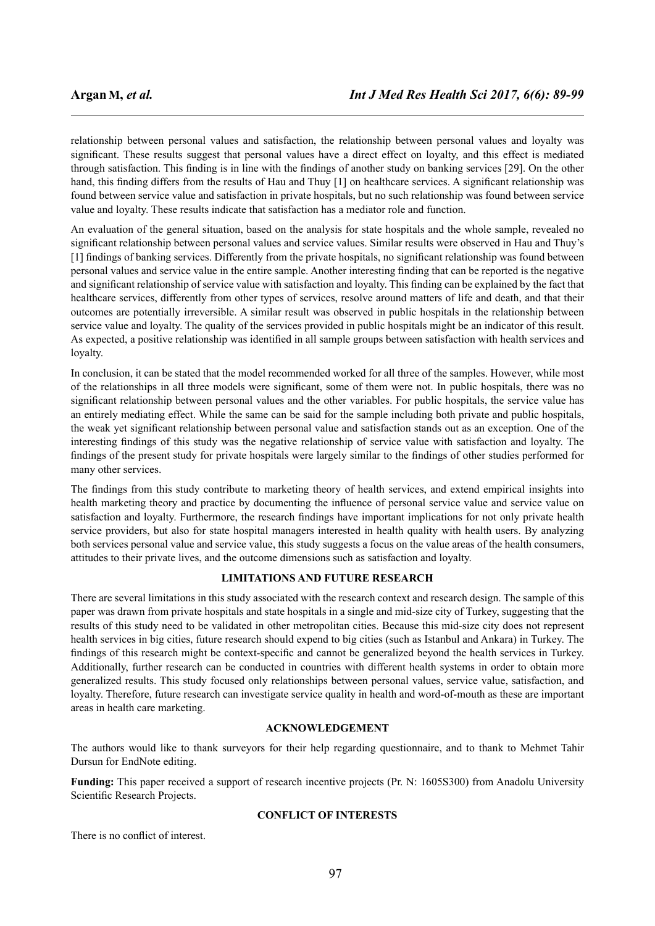relationship between personal values and satisfaction, the relationship between personal values and loyalty was significant. These results suggest that personal values have a direct effect on loyalty, and this effect is mediated through satisfaction. This finding is in line with the findings of another study on banking services [29]. On the other hand, this finding differs from the results of Hau and Thuy [1] on healthcare services. A significant relationship was found between service value and satisfaction in private hospitals, but no such relationship was found between service value and loyalty. These results indicate that satisfaction has a mediator role and function.

An evaluation of the general situation, based on the analysis for state hospitals and the whole sample, revealed no significant relationship between personal values and service values. Similar results were observed in Hau and Thuy's [1] findings of banking services. Differently from the private hospitals, no significant relationship was found between personal values and service value in the entire sample. Another interesting finding that can be reported is the negative and significant relationship of service value with satisfaction and loyalty. This finding can be explained by the fact that healthcare services, differently from other types of services, resolve around matters of life and death, and that their outcomes are potentially irreversible. A similar result was observed in public hospitals in the relationship between service value and loyalty. The quality of the services provided in public hospitals might be an indicator of this result. As expected, a positive relationship was identified in all sample groups between satisfaction with health services and loyalty.

In conclusion, it can be stated that the model recommended worked for all three of the samples. However, while most of the relationships in all three models were significant, some of them were not. In public hospitals, there was no significant relationship between personal values and the other variables. For public hospitals, the service value has an entirely mediating effect. While the same can be said for the sample including both private and public hospitals, the weak yet significant relationship between personal value and satisfaction stands out as an exception. One of the interesting findings of this study was the negative relationship of service value with satisfaction and loyalty. The findings of the present study for private hospitals were largely similar to the findings of other studies performed for many other services.

The findings from this study contribute to marketing theory of health services, and extend empirical insights into health marketing theory and practice by documenting the influence of personal service value and service value on satisfaction and loyalty. Furthermore, the research findings have important implications for not only private health service providers, but also for state hospital managers interested in health quality with health users. By analyzing both services personal value and service value, this study suggests a focus on the value areas of the health consumers, attitudes to their private lives, and the outcome dimensions such as satisfaction and loyalty.

# **LIMITATIONS AND FUTURE RESEARCH**

There are several limitations in this study associated with the research context and research design. The sample of this paper was drawn from private hospitals and state hospitals in a single and mid-size city of Turkey, suggesting that the results of this study need to be validated in other metropolitan cities. Because this mid-size city does not represent health services in big cities, future research should expend to big cities (such as Istanbul and Ankara) in Turkey. The findings of this research might be context-specific and cannot be generalized beyond the health services in Turkey. Additionally, further research can be conducted in countries with different health systems in order to obtain more generalized results. This study focused only relationships between personal values, service value, satisfaction, and loyalty. Therefore, future research can investigate service quality in health and word-of-mouth as these are important areas in health care marketing.

# **ACKNOWLEDGEMENT**

The authors would like to thank surveyors for their help regarding questionnaire, and to thank to Mehmet Tahir Dursun for EndNote editing.

**Funding:** This paper received a support of research incentive projects (Pr. N: 1605S300) from Anadolu University Scientific Research Projects.

## **CONFLICT OF INTERESTS**

There is no conflict of interest.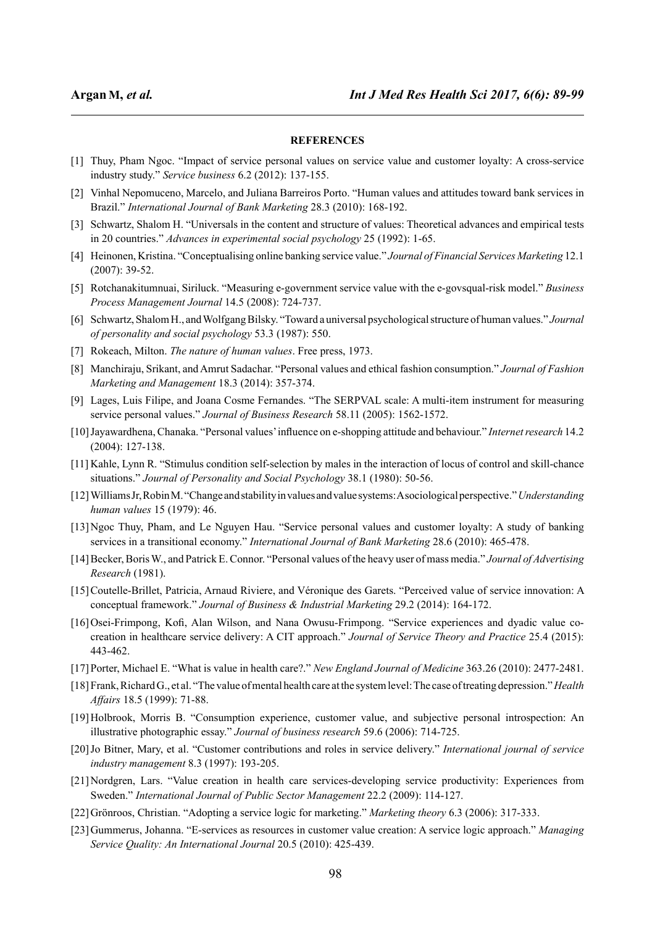# **REFERENCES**

- [1] Thuy, Pham Ngoc. "Impact of service personal values on service value and customer loyalty: A cross-service industry study." *Service business* 6.2 (2012): 137-155.
- [2] Vinhal Nepomuceno, Marcelo, and Juliana Barreiros Porto. "Human values and attitudes toward bank services in Brazil." *International Journal of Bank Marketing* 28.3 (2010): 168-192.
- [3] Schwartz, Shalom H. "Universals in the content and structure of values: Theoretical advances and empirical tests in 20 countries." *Advances in experimental social psychology* 25 (1992): 1-65.
- [4] Heinonen, Kristina. "Conceptualising online banking service value." *Journal of Financial Services Marketing* 12.1 (2007): 39-52.
- [5] Rotchanakitumnuai, Siriluck. "Measuring e-government service value with the e-govsqual-risk model." *Business Process Management Journal* 14.5 (2008): 724-737.
- [6] Schwartz, Shalom H., and Wolfgang Bilsky. "Toward a universal psychological structure of human values." *Journal of personality and social psychology* 53.3 (1987): 550.
- [7] Rokeach, Milton. *The nature of human values*. Free press, 1973.
- [8] Manchiraju, Srikant, and Amrut Sadachar. "Personal values and ethical fashion consumption." *Journal of Fashion Marketing and Management* 18.3 (2014): 357-374.
- [9] Lages, Luis Filipe, and Joana Cosme Fernandes. "The SERPVAL scale: A multi-item instrument for measuring service personal values." *Journal of Business Research* 58.11 (2005): 1562-1572.
- [10]Jayawardhena, Chanaka. "Personal values' influence on e-shopping attitude and behaviour." *Internet research* 14.2 (2004): 127-138.
- [11] Kahle, Lynn R. "Stimulus condition self-selection by males in the interaction of locus of control and skill-chance situations." *Journal of Personality and Social Psychology* 38.1 (1980): 50-56.
- [12]Williams Jr, Robin M. "Change and stability in values and value systems: A sociological perspective."*Understanding human values* 15 (1979): 46.
- [13]Ngoc Thuy, Pham, and Le Nguyen Hau. "Service personal values and customer loyalty: A study of banking services in a transitional economy." *International Journal of Bank Marketing* 28.6 (2010): 465-478.
- [14]Becker, Boris W., and Patrick E. Connor. "Personal values of the heavy user of mass media." *Journal of Advertising Research* (1981).
- [15]Coutelle-Brillet, Patricia, Arnaud Riviere, and Véronique des Garets. "Perceived value of service innovation: A conceptual framework." *Journal of Business & Industrial Marketing* 29.2 (2014): 164-172.
- [16]Osei-Frimpong, Kofi, Alan Wilson, and Nana Owusu-Frimpong. "Service experiences and dyadic value cocreation in healthcare service delivery: A CIT approach." *Journal of Service Theory and Practice* 25.4 (2015): 443-462.
- [17]Porter, Michael E. "What is value in health care?." *New England Journal of Medicine* 363.26 (2010): 2477-2481.
- [18]Frank, Richard G., et al. "The value of mental health care at the system level: The case of treating depression."*Health Affairs* 18.5 (1999): 71-88.
- [19]Holbrook, Morris B. "Consumption experience, customer value, and subjective personal introspection: An illustrative photographic essay." *Journal of business research* 59.6 (2006): 714-725.
- [20]Jo Bitner, Mary, et al. "Customer contributions and roles in service delivery." *International journal of service industry management* 8.3 (1997): 193-205.
- [21]Nordgren, Lars. "Value creation in health care services-developing service productivity: Experiences from Sweden." *International Journal of Public Sector Management* 22.2 (2009): 114-127.
- [22]Grönroos, Christian. "Adopting a service logic for marketing." *Marketing theory* 6.3 (2006): 317-333.
- [23]Gummerus, Johanna. "E-services as resources in customer value creation: A service logic approach." *Managing Service Quality: An International Journal* 20.5 (2010): 425-439.